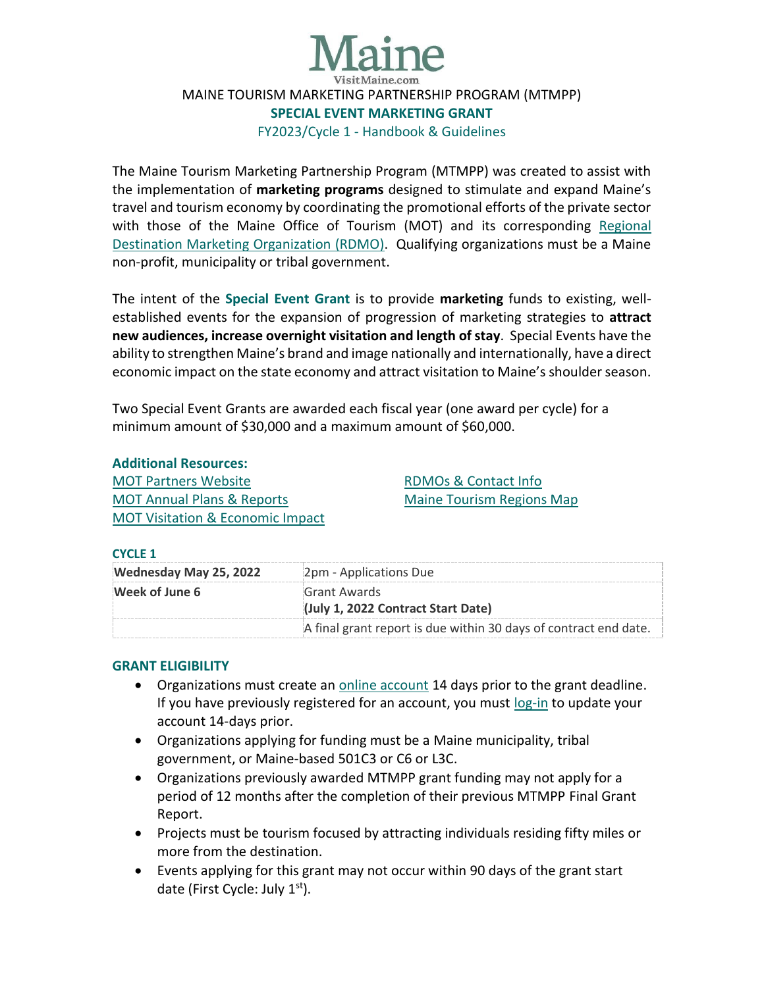

# MAINE TOURISM MARKETING PARTNERSHIP PROGRAM (MTMPP) **SPECIAL EVENT MARKETING GRANT** FY2023/Cycle 1 - Handbook & Guidelines

The Maine Tourism Marketing Partnership Program (MTMPP) was created to assist with the implementation of **marketing programs** designed to stimulate and expand Maine's travel and tourism economy by coordinating the promotional efforts of the private sector with those of the Maine Office of Tourism (MOT) and its corresponding [Regional](https://motpartners.com/partner-organizations/)  [Destination Marketing Organization \(RDMO\).](https://motpartners.com/partner-organizations/) Qualifying organizations must be a Maine non-profit, municipality or tribal government.

The intent of the **Special Event Grant** is to provide **marketing** funds to existing, wellestablished events for the expansion of progression of marketing strategies to **attract new audiences, increase overnight visitation and length of stay**. Special Events have the ability to strengthen Maine's brand and image nationally and internationally, have a direct economic impact on the state economy and attract visitation to Maine's shoulder season.

Two Special Event Grants are awarded each fiscal year (one award per cycle) for a minimum amount of \$30,000 and a maximum amount of \$60,000.

## **Additional Resources:**

[MOT Partners Website](https://motpartners.com/) [MOT Annual Plans & Reports](https://motpartners.com/additional-resources/plans-reports/) [MOT Visitation & Economic Impact](https://motpartners.com/research/) [RDMOs & Contact Info](https://motpartners.com/partner-organizations/) [Maine Tourism Regions Map](https://motpartners.com/wp-content/uploads/2021/03/Maine_Regions.pdf)

## **CYCLE 1**

| Wednesday May 25, 2022 | 2pm - Applications Due                                           |
|------------------------|------------------------------------------------------------------|
| Week of June 6         | Grant Awards                                                     |
|                        | (July 1, 2022 Contract Start Date)                               |
|                        | A final grant report is due within 30 days of contract end date. |

## **GRANT ELIGIBILITY**

- Organizations must create an [online account](https://stateofmaine.force.com/DECDMAINE/s/self-registration?startURL=%2FDECDMAINE%2Fs%2Ffunding-requests%3Ft%3D1644356528180) 14 days prior to the grant deadline. If you have previously registered for an account, you must [log-in](https://stateofmaine.force.com/DECDMAINE/s/login/) to update your account 14-days prior.
- Organizations applying for funding must be a Maine municipality, tribal government, or Maine-based 501C3 or C6 or L3C.
- Organizations previously awarded MTMPP grant funding may not apply for a period of 12 months after the completion of their previous MTMPP Final Grant Report.
- Projects must be tourism focused by attracting individuals residing fifty miles or more from the destination.
- Events applying for this grant may not occur within 90 days of the grant start date (First Cycle: July 1st).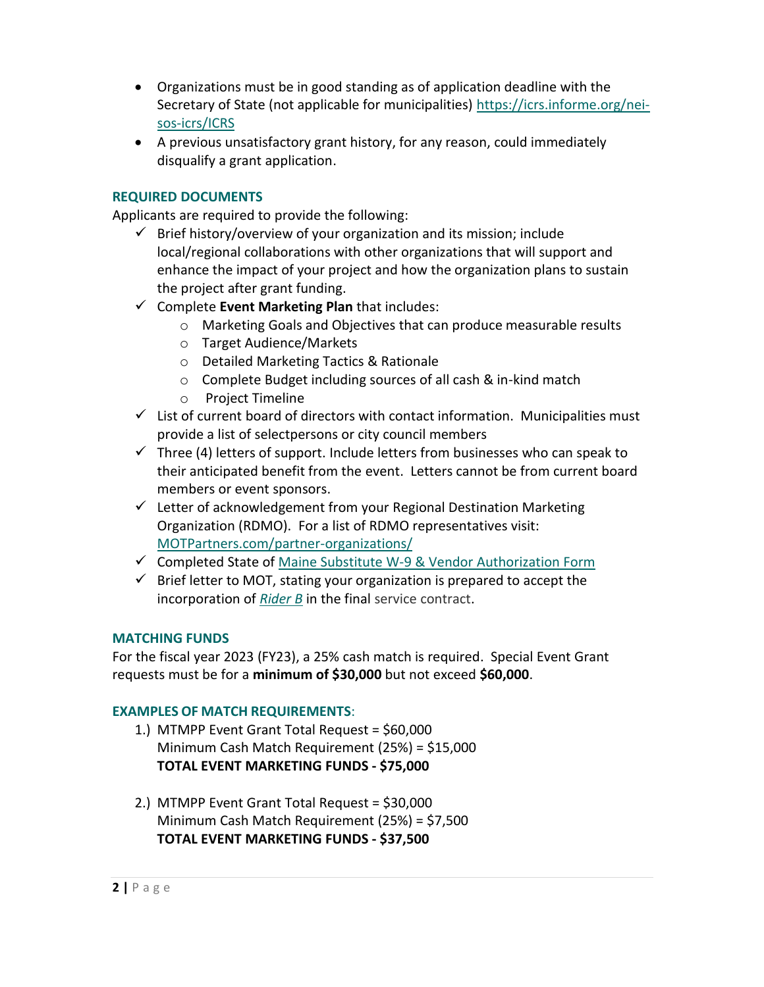- Organizations must be in good standing as of application deadline with the Secretary of State (not applicable for municipalities) [https://icrs.informe.org/nei](https://icrs.informe.org/nei-sos-icrs/ICRS)[sos-icrs/ICRS](https://icrs.informe.org/nei-sos-icrs/ICRS)
- A previous unsatisfactory grant history, for any reason, could immediately disqualify a grant application.

## **REQUIRED DOCUMENTS**

Applicants are required to provide the following:

- $\checkmark$  Brief history/overview of your organization and its mission; include local/regional collaborations with other organizations that will support and enhance the impact of your project and how the organization plans to sustain the project after grant funding.
- ✓ Complete **Event Marketing Plan** that includes:
	- o Marketing Goals and Objectives that can produce measurable results
	- o Target Audience/Markets
	- o Detailed Marketing Tactics & Rationale
	- o Complete Budget including sources of all cash & in-kind match
	- o Project Timeline
- $\checkmark$  List of current board of directors with contact information. Municipalities must provide a list of selectpersons or city council members
- $\checkmark$  Three (4) letters of support. Include letters from businesses who can speak to their anticipated benefit from the event. Letters cannot be from current board members or event sponsors.
- ✓ Letter of acknowledgement from your Regional Destination Marketing Organization (RDMO). For a list of RDMO representatives visit: [MOTPartners.com/partner-organizations/](https://motpartners.com/partner-organizations/)
- ✓ Completed State of [Maine Substitute W-9 & Vendor Authorization Form](https://www.maine.gov/osc/sites/maine.gov.osc/files/inline-files/vendor_ME_W9v5.pdf)
- $\checkmark$  Brief letter to MOT, stating your organization is prepared to accept the incorporation of *[Rider B](https://motpartners.com/wp-content/uploads/2021/11/Service-Contract-RiderB.pdf)* in the final service contract.

## **MATCHING FUNDS**

For the fiscal year 2023 (FY23), a 25% cash match is required. Special Event Grant requests must be for a **minimum of \$30,000** but not exceed **\$60,000**.

## **EXAMPLES OF MATCH REQUIREMENTS**:

- 1.) MTMPP Event Grant Total Request = \$60,000 Minimum Cash Match Requirement (25%) = \$15,000 **TOTAL EVENT MARKETING FUNDS - \$75,000**
- 2.) MTMPP Event Grant Total Request = \$30,000 Minimum Cash Match Requirement (25%) = \$7,500 **TOTAL EVENT MARKETING FUNDS - \$37,500**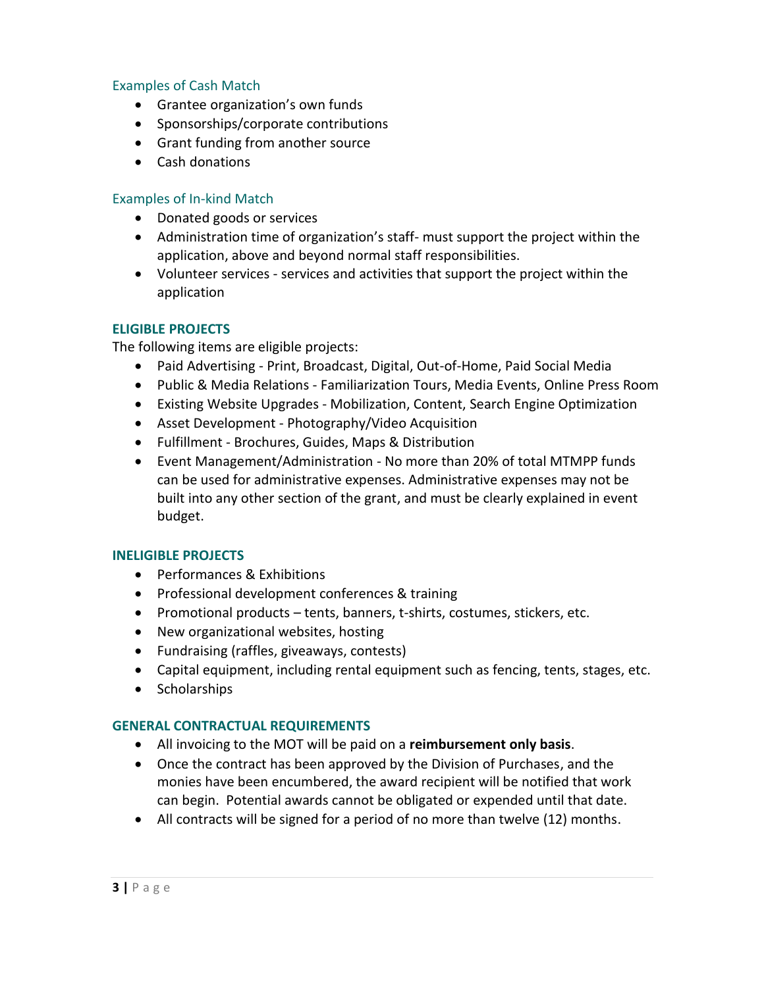### Examples of Cash Match

- Grantee organization's own funds
- Sponsorships/corporate contributions
- Grant funding from another source
- Cash donations

### Examples of In-kind Match

- Donated goods or services
- Administration time of organization's staff- must support the project within the application, above and beyond normal staff responsibilities.
- Volunteer services services and activities that support the project within the application

#### **ELIGIBLE PROJECTS**

The following items are eligible projects:

- Paid Advertising Print, Broadcast, Digital, Out-of-Home, Paid Social Media
- Public & Media Relations Familiarization Tours, Media Events, Online Press Room
- Existing Website Upgrades Mobilization, Content, Search Engine Optimization
- Asset Development Photography/Video Acquisition
- Fulfillment Brochures, Guides, Maps & Distribution
- Event Management/Administration No more than 20% of total MTMPP funds can be used for administrative expenses. Administrative expenses may not be built into any other section of the grant, and must be clearly explained in event budget.

#### **INELIGIBLE PROJECTS**

- Performances & Exhibitions
- Professional development conferences & training
- Promotional products tents, banners, t-shirts, costumes, stickers, etc.
- New organizational websites, hosting
- Fundraising (raffles, giveaways, contests)
- Capital equipment, including rental equipment such as fencing, tents, stages, etc.
- Scholarships

#### **GENERAL CONTRACTUAL REQUIREMENTS**

- All invoicing to the MOT will be paid on a **reimbursement only basis**.
- Once the contract has been approved by the Division of Purchases, and the monies have been encumbered, the award recipient will be notified that work can begin. Potential awards cannot be obligated or expended until that date.
- All contracts will be signed for a period of no more than twelve (12) months.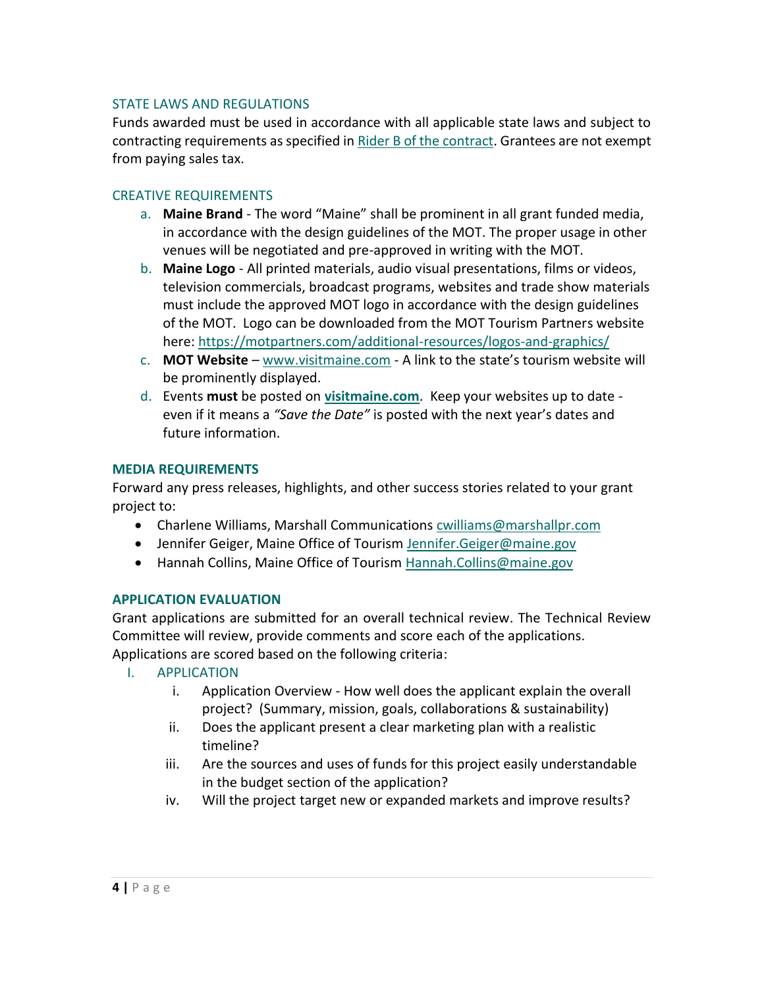#### STATE LAWS AND REGULATIONS

Funds awarded must be used in accordance with all applicable state laws and subject to contracting requirements as specified i[n Rider B of the contract.](https://motpartners.com/wp-content/uploads/2021/11/Service-Contract-RiderB.pdf) Grantees are not exempt from paying sales tax.

## CREATIVE REQUIREMENTS

- a. **Maine Brand** The word "Maine" shall be prominent in all grant funded media, in accordance with the design guidelines of the MOT. The proper usage in other venues will be negotiated and pre-approved in writing with the MOT.
- b. **Maine Logo** All printed materials, audio visual presentations, films or videos, television commercials, broadcast programs, websites and trade show materials must include the approved MOT logo in accordance with the design guidelines of the MOT. Logo can be downloaded from the MOT Tourism Partners website here:<https://motpartners.com/additional-resources/logos-and-graphics/>
- c. **MOT Website** [www.visitmaine.com](http://www.visitmaine.com/) A link to the state's tourism website will be prominently displayed.
- d. Events **must** be posted on **[visitmaine.com](https://visitmaine.com/)**. Keep your websites up to date even if it means a *"Save the Date"* is posted with the next year's dates and future information.

### **MEDIA REQUIREMENTS**

Forward any press releases, highlights, and other success stories related to your grant project to:

- Charlene Williams, Marshall Communications [cwilliams@marshallpr.com](mailto:cwilliams@marshallpr.com)
- Jennifer Geiger, Maine Office of Tourism [Jennifer.Geiger@maine.gov](mailto:Jennifer.Geiger@maine.gov)
- Hannah Collins, Maine Office of Tourism [Hannah.Collins@maine.gov](mailto:Hannah.Collins@maine.gov)

## **APPLICATION EVALUATION**

Grant applications are submitted for an overall technical review. The Technical Review Committee will review, provide comments and score each of the applications. Applications are scored based on the following criteria:

## I. APPLICATION

- i. Application Overview How well does the applicant explain the overall project? (Summary, mission, goals, collaborations & sustainability)
- ii. Does the applicant present a clear marketing plan with a realistic timeline?
- iii. Are the sources and uses of funds for this project easily understandable in the budget section of the application?
- iv. Will the project target new or expanded markets and improve results?